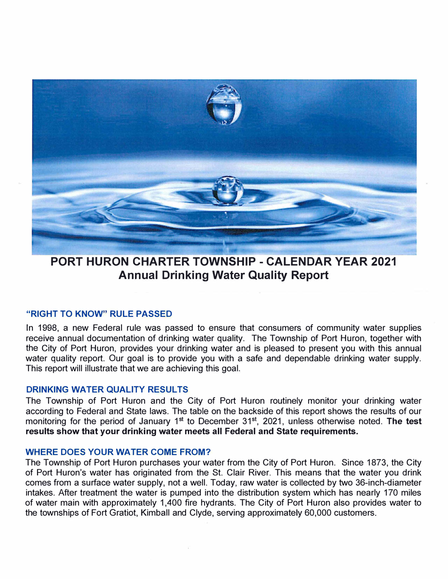

**PORT HURON CHARTER TOWNSHIP - CALENDAR YEAR 2021 Annual Drinking Water Quality Report** 

### **"RIGHT TO KNOW" RULE PASSED**

In 1998, a new Federal rule was passed to ensure that consumers of community water supplies receive annual documentation of drinking water quality. The Township of Port Huron, together with the City of Port Huron, provides your drinking water and is pleased to present you with this annual water quality report. Our goal is to provide you with a safe and dependable drinking water supply. This report will illustrate that we are achieving this goal.

### **DRINKING WATER QUALITY RESULTS**

The Township of Port Huron and the City of Port Huron routinely monitor your drinking water according to Federal and State laws. The table on the backside of this report shows the results of our monitoring for the period of January 1<sup>st</sup> to December 31<sup>st</sup>, 2021, unless otherwise noted. The test **results show that your drinking water meets all Federal and State requirements.** 

#### **WHERE DOES YOUR WATER COME FROM?**

The Township of Port Huron purchases your water from the City of Port Huron. Since 1873, the City of Port Huron's water has originated from the St. Clair River. This means that the water you drink comes from a surface water supply, not a well. Today, raw water is collected by two 36-inch-diameter intakes. After treatment the water is pumped into the distribution system which has nearly 170 miles of water main with approximately 1,400 fire hydrants. The City of Port Huron also provides water to the townships of Fort Gratiot, Kimball and Clyde, serving approximately 60,000 customers.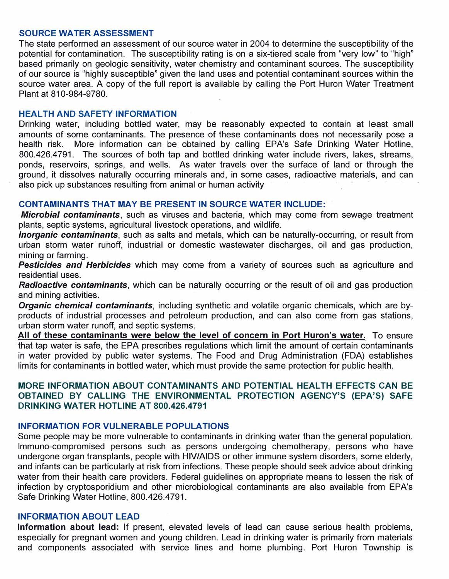#### **SOURCE WATER ASSESSMENT**

**The state performed an assessment of our source water in 2004 to determine the susceptibility of the potential for contamination. The susceptibility rating is on a six-tiered scale from "very low" to "high" based primarily on geologic sensitivity, water chemistry and contaminant sources. The susceptibility of our source is "highly susceptible" given the land uses and potential contaminant sources within the source water area. A copy of the full report is available by calling the Port Huron Water Treatment Plant at 810-984-9780.** 

#### **HEAL TH AND SAFETY INFORMATION**

**Drinking water, including bottled water, may be reasonably expected to contain at least small amounts of some contaminants. The presence of these contaminants does not necessarily pose a health risk. More information can be obtained by calling EPA's Safe Drinking Water Hotline, 800.426.4791. The sources of both tap and bottled drinking water include rivers, lakes, streams, ponds, reservoirs, springs, and wells. As water travels over the surface of land or through the ground, it dissolves naturally occurring minerals and, in some cases, radioactive materials, and can**  also pick up substances resulting from animal or human activity

# **CONTAMINANTS THAT MAY BE PRESENT IN SOURCE WATER INCLUDE:**

*Microbial contaminants,* **such as viruses and bacteria, which may come from sewage treatment plants, septic systems, agricultural livestock operations, and wildlife.** 

*Inorganic contaminants,* **such as salts and metals, which can be naturally-occurring, or result from urban storm water runoff, industrial or domestic wastewater discharges, oil and gas production, mining or farming.** 

*Pesticides and Herbicides* **which may come from a variety of sources such as agriculture and residential uses.** 

*Radioactive contaminants,* **which can be naturally occurring or the result of oil and gas production and mining activities.** 

*Organic chemical contaminants,* **including synthetic and volatile organic chemicals, which are byproducts of industrial processes and petroleum production, and can also come from gas stations, urban storm water runoff, and septic systems.** 

**All of these contaminants were below the level of concern in Port Huron's water. To ensure that tap water is safe, the EPA prescribes regulations which limit the amount of certain contaminants in water provided by public water systems. The Food and Drug Administration (FDA) establishes limits for contaminants in bottled water, which must provide the same protection for public health.** 

## **MORE INFORMATION ABOUT CONTAMINANTS AND POTENTIAL HEALTH EFFECTS CAN BE OBTAINED BY CALLING THE ENVIRONMENTAL PROTECTION AGENCY'S (EPA'S) SAFE DRINKING WATER HOTLINE AT 800.426.4791**

### **INFORMATION FOR VULNERABLE POPULATIONS**

**Some people may be more vulnerable to contaminants in drinking water than the general population. lmmuno-compromised persons such as persons undergoing chemotherapy, persons who have undergone organ transplants, people with HIV/AIDS or other immune system disorders, some elderly, and infants can be particularly at risk from infections. These people should seek advice about drinking water from their health care providers. Federal guidelines on appropriate means to lessen the risk of infection by cryptosporidium and other microbiological contaminants are also available from EPA's Safe Drinking Water Hotline, 800.426.4791.** 

#### **INFORMATION ABOUT LEAD**

**Information about lead: If present, elevated levels of lead can cause serious health problems, especially for pregnant women and young children. Lead in drinking water is primarily from materials and components associated with service lines and home plumbing. Port Huron Township is**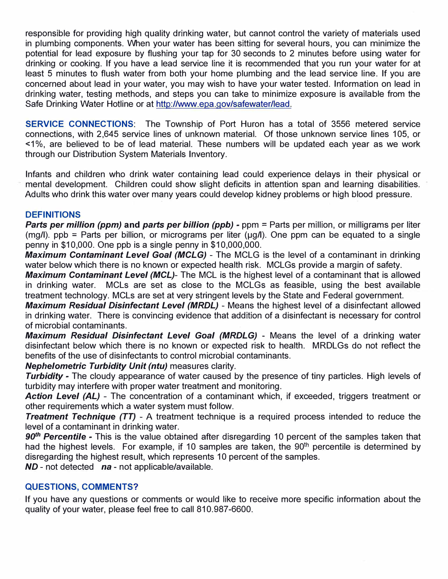**responsible for providing high quality drinking water, but cannot control the variety of materials used in plumbing components. When your water has been sitting for several hours, you can minimize the potential for lead exposure by flushing your tap for 30 seconds to 2 minutes before using water for drinking or cooking. If you have a lead service line it is recommended that you run your water for at least 5 minutes to flush water from both your home plumbing and the lead service line. If you are concerned about lead in your water, you may wish to have your water tested. Information on lead in drinking water, testing methods, and steps you can take to minimize exposure is available from the Safe Drinking Water Hotline or at http://www.epa.gov/safewater/lead.** 

**SERVICE CONNECTIONS: The Township of Port Huron has a total of 3556 metered service connections, with 2,645 service lines of unknown material. Of those unknown service lines 105, or <1 %, are believed to be of lead material. These numbers will be updated each year as we work through our Distribution System Materials Inventory.** 

**Infants and children who drink water containing lead could experience delays in their physical or**  mental development. Children could show slight deficits in attention span and learning disabilities. **Adults who drink this water over many years could develop kidney problems or high blood pressure.** 

# **DEFINITIONS**

*Parts per million (ppm)* **and** *parts per billion (ppb)* **- ppm <sup>=</sup>Parts per million, or milligrams per liter (mg/I). ppb = Parts per billion, or micrograms per liter (µg/I). One ppm can be equated to a single penny in \$10,000. One ppb is a single penny in \$10,000,000.** 

*Maximum Contaminant Level Goal (MCLG)* **- The MCLG is the level of a contaminant in drinking water below which there is no known or expected health risk. MCLGs provide a margin of safety.** 

*Maximum Contaminant Level (MCL)-* **The MCL is the highest level of a contaminant that is allowed in drinking water. MCLs are set as close to the MCLGs as feasible, using the best available treatment technology. MCLs are set at very stringent levels by the State and Federal government.** 

*Maximum Residual Disinfectant Level (MRDL)* **- Means the highest level of a disinfectant allowed in drinking water. There is convincing evidence that addition of a disinfectant is necessary for control of microbial contaminants.** 

*Maximum Residual Disinfectant Level Goal (MRDLG)* **- Means the level of a drinking water disinfectant below which there is no known or expected risk to health. MRDLGs do not reflect the benefits of the use of disinfectants to control microbial contaminants.** 

# *Nephelometric Turbidity Unit (ntu)* **measures clarity.**

*Turbidity -* **The cloudy appearance of water caused by the presence of tiny particles. High levels of turbidity may interfere with proper water treatment and monitoring.** 

*Action Level (AL)* **- The concentration of a contaminant which, if exceeded, triggers treatment or other requirements which a water system must follow.** 

*Treatment Technique (TT)* **- A treatment technique is a required process intended to reduce the level of a contaminant in drinking water.** 

*90th Percentile* **- This is the value obtained after disregarding 10 percent of the samples taken that had the highest levels. For example, if 10 samples are taken, the 90th percentile is determined by disregarding the highest result, which represents 10 percent of the samples.** 

*ND* **- not detected** *na* **- not applicable/available.** 

# **QUESTIONS, COMMENTS?**

**If you have any questions or comments or would like to receive more specific information about the quality of your water, please feel free to call 810.987-6600.**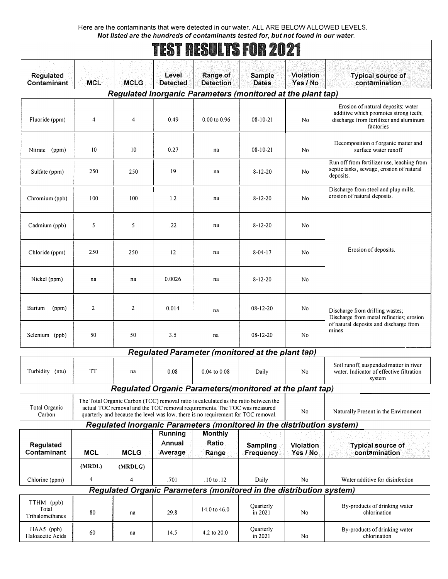Here are the contaminants that were detected in our water. ALL ARE BELOW ALLOWED LEVELS. *Not listed are the hundreds of contaminants tested for, but not found in our water.* 

|                                        |                |                |                              |                                                                                                                                                                                                                                                       | ikoi nkoulio fun zuzi                                                 |                              |                                                                                                                                    |  |
|----------------------------------------|----------------|----------------|------------------------------|-------------------------------------------------------------------------------------------------------------------------------------------------------------------------------------------------------------------------------------------------------|-----------------------------------------------------------------------|------------------------------|------------------------------------------------------------------------------------------------------------------------------------|--|
| Regulated<br>Contaminant               | <b>MCL</b>     | <b>MCLG</b>    | Level<br><b>Detected</b>     | Range of<br><b>Detection</b>                                                                                                                                                                                                                          | <b>Sample</b><br><b>Dates</b>                                         | <b>Violation</b><br>Yes / No | <b>Typical source of</b><br>contamination                                                                                          |  |
|                                        |                |                |                              |                                                                                                                                                                                                                                                       | Regulated Inorganic Parameters (monitored at the plant tap)           |                              |                                                                                                                                    |  |
| Fluoride (ppm)                         | 4              | $\overline{4}$ | 0.49                         | $0.00$ to $0.96$                                                                                                                                                                                                                                      | $08 - 10 - 21$                                                        | No                           | Erosion of natural deposits; water<br>additive which promotes strong teeth;<br>discharge from fertilizer and aluminum<br>factories |  |
| Nitrate (ppm)                          | 10             | 10             | 0.27                         | na                                                                                                                                                                                                                                                    | $08 - 10 - 21$                                                        | No                           | Decomposition of organic matter and<br>surface water runoff                                                                        |  |
| Sulfate (ppm)                          | 250            | 250            | 19                           | na                                                                                                                                                                                                                                                    | $8 - 12 - 20$                                                         | N <sub>0</sub>               | Run off from fertilizer use, leaching from<br>septic tanks, sewage, erosion of natural<br>deposits.                                |  |
| Chromium (ppb)                         | 100            | 100            | 1.2                          | na                                                                                                                                                                                                                                                    | $8 - 12 - 20$                                                         | No                           | Discharge from steel and plup mills,<br>erosion of natural deposits.                                                               |  |
| Cadmium (ppb)                          | 5              | 5              | .22                          | na                                                                                                                                                                                                                                                    | $8 - 12 - 20$                                                         | N <sub>0</sub>               |                                                                                                                                    |  |
| Chloride (ppm)                         | 250            | 250            | 12                           | na                                                                                                                                                                                                                                                    | $8 - 04 - 17$                                                         | No                           | Erosion of deposits.                                                                                                               |  |
| Nickel (ppm)                           | na             | na             | 0.0026                       | na                                                                                                                                                                                                                                                    | $8 - 12 - 20$                                                         | N <sub>0</sub>               |                                                                                                                                    |  |
| Barium<br>(ppm)                        | $\overline{2}$ | $\overline{2}$ | 0.014                        | na                                                                                                                                                                                                                                                    | 08-12-20                                                              | No                           | Discharge from drilling wastes;<br>Discharge from metal refineries; erosion<br>of natural deposits and discharge from<br>mines     |  |
| Selenium (ppb)                         | 50             | 50             | 3.5                          | na                                                                                                                                                                                                                                                    | $08 - 12 - 20$                                                        | N <sub>0</sub>               |                                                                                                                                    |  |
|                                        |                |                |                              |                                                                                                                                                                                                                                                       | <b>Regulated Parameter (monitored at the plant tap)</b>               |                              |                                                                                                                                    |  |
| Turbidity (ntu)                        | <b>TT</b>      | na             | 0.08                         | $0.04$ to $0.08$                                                                                                                                                                                                                                      | Daily                                                                 | N <sub>0</sub>               | Soil runoff, suspended matter in river<br>water. Indicator of effective filtration<br>system                                       |  |
|                                        |                |                |                              |                                                                                                                                                                                                                                                       | Regulated Organic Parameters (monitored at the plant tap)             |                              |                                                                                                                                    |  |
| Total Organic<br>Carbon                |                |                |                              | The Total Organic Carbon (TOC) removal ratio is calculated as the ratio between the<br>actual TOC removal and the TOC removal requirements. The TOC was measured<br>quarterly and because the level was low, there is no requirement for TOC removal. |                                                                       | No                           | Naturally Present in the Environment                                                                                               |  |
|                                        |                |                |                              |                                                                                                                                                                                                                                                       | Regulated Inorganic Parameters (monitored in the distribution system) |                              |                                                                                                                                    |  |
| Regulated<br>Contaminant               | <b>MCL</b>     | <b>MCLG</b>    | Running<br>Annual<br>Average | <b>Monthly</b><br>Ratio<br>Range                                                                                                                                                                                                                      | Sampling<br>Frequency                                                 | <b>Violation</b><br>Yes / No | <b>Typical source of</b><br>contamination                                                                                          |  |
|                                        | (MRDL)         | (MRDLG)        |                              |                                                                                                                                                                                                                                                       |                                                                       |                              |                                                                                                                                    |  |
| Chlorine (ppm)                         | 4              | $\overline{4}$ | .701                         | $.10 \text{ to } .12$                                                                                                                                                                                                                                 | Daily                                                                 | No                           | Water additive for disinfection                                                                                                    |  |
|                                        |                |                |                              |                                                                                                                                                                                                                                                       | Regulated Organic Parameters (monitored in the distribution system)   |                              |                                                                                                                                    |  |
| TTHM (ppb)<br>Total<br>Trihalomethanes | 80             | na             | 29.8                         | 14.0 to 46.0                                                                                                                                                                                                                                          | Quarterly<br>in 2021                                                  | No                           | By-products of drinking water<br>chlorination                                                                                      |  |
| $HAAS$ (ppb)<br>Haloacetic Acids       | 60             | na             | 14.5                         | 4.2 to $20.0$                                                                                                                                                                                                                                         | Quarterly<br>in 2021                                                  | No                           | By-products of drinking water<br>chlorination                                                                                      |  |